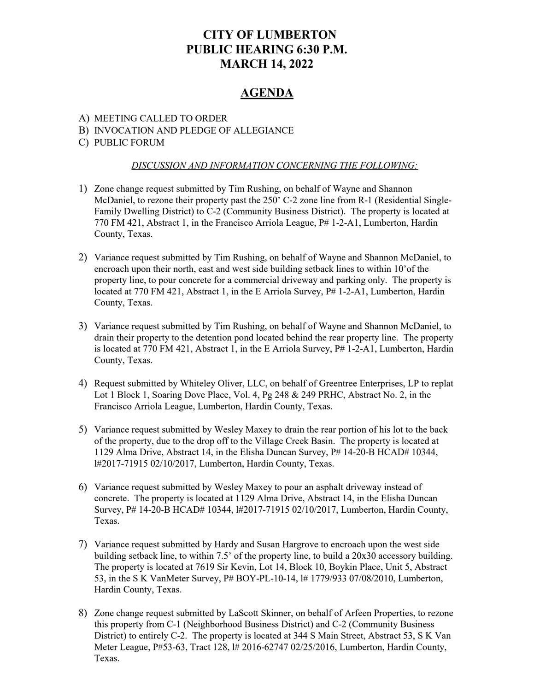# CITY OF LUMBERTON PUBLIC HEARING 6:30 P.M. MARCH 14, 2022

# AGENDA

## A) MEETING CALLED TO ORDER

### B) INVOCATION AND PLEDGE OF ALLEGIANCE

C) PUBLIC FORUM

#### DISCUSSION AND INFORMATION CONCERNING THE FOLLOWING:

- 1) Zone change request submitted by Tim Rushing, on behalf of Wayne and Shannon McDaniel, to rezone their property past the 250' C-2 zone line from R-1 (Residential Single-Family Dwelling District) to C-2 (Community Business District). The property is located at 770 FM 421, Abstract 1, in the Francisco Arriola League, P# 1-2-A1, Lumberton, Hardin County, Texas.
- 2) Variance request submitted by Tim Rushing, on behalf of Wayne and Shannon McDaniel, to encroach upon their north, east and west side building setback lines to within 10'of the property line, to pour concrete for a commercial driveway and parking only. The property is located at 770 FM 421, Abstract 1, in the E Arriola Survey,  $P# 1-2-A1$ , Lumberton, Hardin County, Texas.
- 3) Variance request submitted by Tim Rushing, on behalf of Wayne and Shannon McDaniel, to drain their property to the detention pond located behind the rear property line. The property is located at 770 FM 421, Abstract 1, in the E Arriola Survey, P# 1-2-A1, Lumberton, Hardin County, Texas.
- 4) Request submitted by Whiteley Oliver, LLC, on behalf of Greentree Enterprises, LP to replat Lot 1 Block 1, Soaring Dove Place, Vol. 4, Pg 248 & 249 PRHC, Abstract No. 2, in the Francisco Arriola League, Lumberton, Hardin County, Texas.
- 5) Variance request submitted by Wesley Maxey to drain the rear portion of his lot to the back of the property, due to the drop off to the Village Creek Basin. The property is located at 1129 Alma Drive, Abstract 14, in the Elisha Duncan Survey, P# 14-20-B HCAD# 10344, l#2017-71915 02/10/2017, Lumberton, Hardin County, Texas.
- 6) Variance request submitted by Wesley Maxey to pour an asphalt driveway instead of concrete. The property is located at 1129 Alma Drive, Abstract 14, in the Elisha Duncan Survey, P# 14-20-B HCAD# 10344, l#2017-71915 02/10/2017, Lumberton, Hardin County, Texas.
- 7) Variance request submitted by Hardy and Susan Hargrove to encroach upon the west side building setback line, to within 7.5' of the property line, to build a 20x30 accessory building. The property is located at 7619 Sir Kevin, Lot 14, Block 10, Boykin Place, Unit 5, Abstract 53, in the S K VanMeter Survey, P# BOY-PL-10-14, l# 1779/933 07/08/2010, Lumberton, Hardin County, Texas.
- 8) Zone change request submitted by LaScott Skinner, on behalf of Arfeen Properties, to rezone this property from C-1 (Neighborhood Business District) and C-2 (Community Business District) to entirely C-2. The property is located at 344 S Main Street, Abstract 53, S K Van Meter League, P#53-63, Tract 128, l# 2016-62747 02/25/2016, Lumberton, Hardin County, Texas.